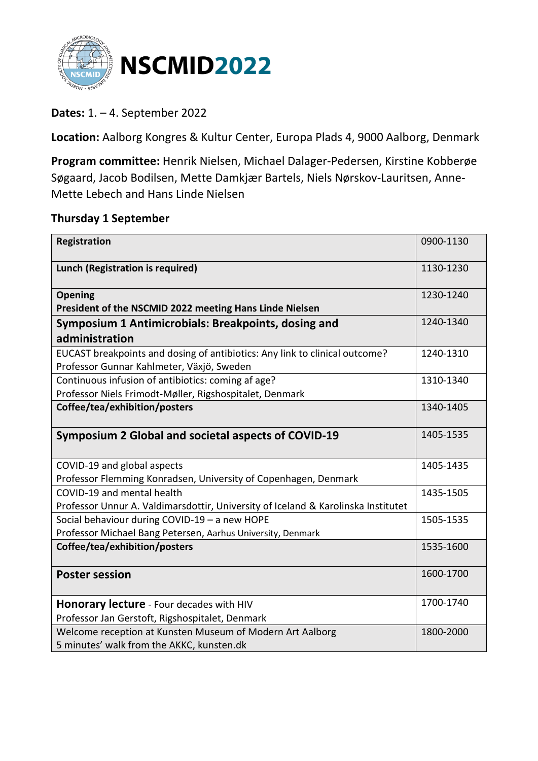

### **Dates:** 1. – 4. September 2022

**Location:** Aalborg Kongres & Kultur Center, Europa Plads 4, 9000 Aalborg, Denmark

**Program committee:** Henrik Nielsen, Michael Dalager-Pedersen, Kirstine Kobberøe Søgaard, Jacob Bodilsen, Mette Damkjær Bartels, Niels Nørskov-Lauritsen, Anne-Mette Lebech and Hans Linde Nielsen

### **Thursday 1 September**

| <b>Registration</b>                                                               | 0900-1130 |
|-----------------------------------------------------------------------------------|-----------|
| Lunch (Registration is required)                                                  | 1130-1230 |
| <b>Opening</b>                                                                    | 1230-1240 |
| President of the NSCMID 2022 meeting Hans Linde Nielsen                           |           |
| Symposium 1 Antimicrobials: Breakpoints, dosing and                               | 1240-1340 |
| administration                                                                    |           |
| EUCAST breakpoints and dosing of antibiotics: Any link to clinical outcome?       | 1240-1310 |
| Professor Gunnar Kahlmeter, Växjö, Sweden                                         |           |
| Continuous infusion of antibiotics: coming af age?                                | 1310-1340 |
| Professor Niels Frimodt-Møller, Rigshospitalet, Denmark                           |           |
| Coffee/tea/exhibition/posters                                                     | 1340-1405 |
| Symposium 2 Global and societal aspects of COVID-19                               | 1405-1535 |
| COVID-19 and global aspects                                                       | 1405-1435 |
| Professor Flemming Konradsen, University of Copenhagen, Denmark                   |           |
| COVID-19 and mental health                                                        | 1435-1505 |
| Professor Unnur A. Valdimarsdottir, University of Iceland & Karolinska Institutet |           |
| Social behaviour during COVID-19 - a new HOPE                                     | 1505-1535 |
| Professor Michael Bang Petersen, Aarhus University, Denmark                       |           |
| Coffee/tea/exhibition/posters                                                     | 1535-1600 |
| <b>Poster session</b>                                                             | 1600-1700 |
| Honorary lecture - Four decades with HIV                                          | 1700-1740 |
| Professor Jan Gerstoft, Rigshospitalet, Denmark                                   |           |
| Welcome reception at Kunsten Museum of Modern Art Aalborg                         | 1800-2000 |
| 5 minutes' walk from the AKKC, kunsten.dk                                         |           |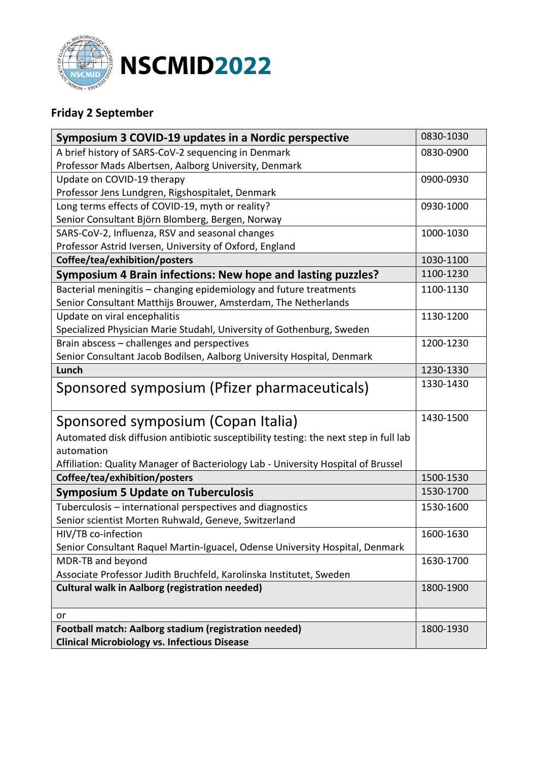

# **Friday 2 September**

| Symposium 3 COVID-19 updates in a Nordic perspective                                                | 0830-1030 |
|-----------------------------------------------------------------------------------------------------|-----------|
| A brief history of SARS-CoV-2 sequencing in Denmark                                                 | 0830-0900 |
| Professor Mads Albertsen, Aalborg University, Denmark                                               |           |
| Update on COVID-19 therapy                                                                          | 0900-0930 |
| Professor Jens Lundgren, Rigshospitalet, Denmark                                                    |           |
| Long terms effects of COVID-19, myth or reality?                                                    | 0930-1000 |
| Senior Consultant Björn Blomberg, Bergen, Norway                                                    |           |
| SARS-CoV-2, Influenza, RSV and seasonal changes                                                     | 1000-1030 |
| Professor Astrid Iversen, University of Oxford, England                                             |           |
| Coffee/tea/exhibition/posters                                                                       | 1030-1100 |
| Symposium 4 Brain infections: New hope and lasting puzzles?                                         | 1100-1230 |
| Bacterial meningitis - changing epidemiology and future treatments                                  | 1100-1130 |
| Senior Consultant Matthijs Brouwer, Amsterdam, The Netherlands                                      |           |
| Update on viral encephalitis                                                                        | 1130-1200 |
| Specialized Physician Marie Studahl, University of Gothenburg, Sweden                               |           |
| Brain abscess - challenges and perspectives                                                         | 1200-1230 |
| Senior Consultant Jacob Bodilsen, Aalborg University Hospital, Denmark                              |           |
| Lunch                                                                                               | 1230-1330 |
| Sponsored symposium (Pfizer pharmaceuticals)                                                        | 1330-1430 |
| Sponsored symposium (Copan Italia)                                                                  | 1430-1500 |
| Automated disk diffusion antibiotic susceptibility testing: the next step in full lab<br>automation |           |
| Affiliation: Quality Manager of Bacteriology Lab - University Hospital of Brussel                   |           |
| Coffee/tea/exhibition/posters                                                                       | 1500-1530 |
| <b>Symposium 5 Update on Tuberculosis</b>                                                           | 1530-1700 |
| Tuberculosis - international perspectives and diagnostics                                           | 1530-1600 |
| Senior scientist Morten Ruhwald, Geneve, Switzerland                                                |           |
| HIV/TB co-infection                                                                                 | 1600-1630 |
| Senior Consultant Raquel Martin-Iguacel, Odense University Hospital, Denmark                        |           |
| MDR-TB and beyond                                                                                   | 1630-1700 |
| Associate Professor Judith Bruchfeld, Karolinska Institutet, Sweden                                 |           |
| <b>Cultural walk in Aalborg (registration needed)</b>                                               | 1800-1900 |
| or                                                                                                  |           |
| Football match: Aalborg stadium (registration needed)                                               | 1800-1930 |
| <b>Clinical Microbiology vs. Infectious Disease</b>                                                 |           |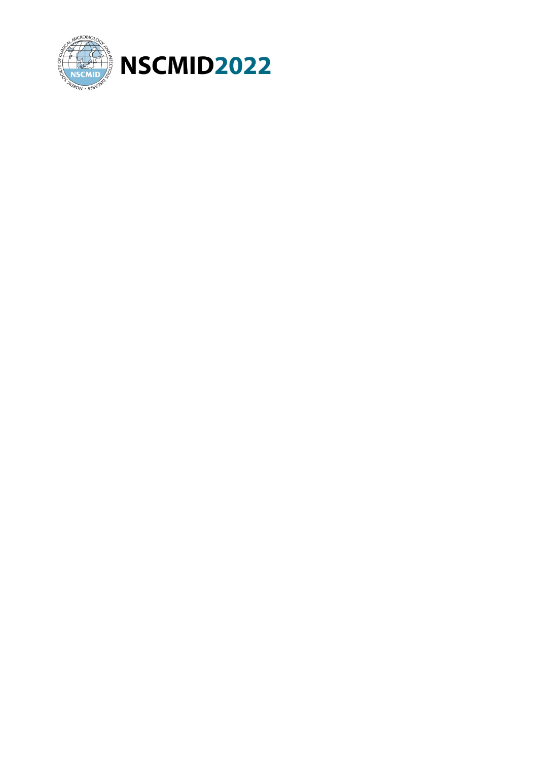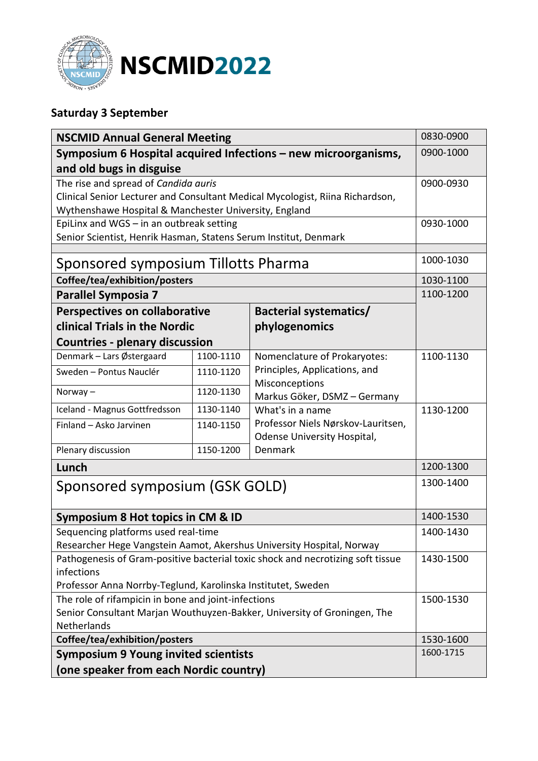

## **Saturday 3 September**

| <b>NSCMID Annual General Meeting</b>                                                                                            |           |                                                                               | 0830-0900 |
|---------------------------------------------------------------------------------------------------------------------------------|-----------|-------------------------------------------------------------------------------|-----------|
| Symposium 6 Hospital acquired Infections - new microorganisms,                                                                  |           |                                                                               | 0900-1000 |
| and old bugs in disguise                                                                                                        |           |                                                                               |           |
| The rise and spread of Candida auris                                                                                            |           |                                                                               | 0900-0930 |
|                                                                                                                                 |           | Clinical Senior Lecturer and Consultant Medical Mycologist, Riina Richardson, |           |
| Wythenshawe Hospital & Manchester University, England                                                                           |           |                                                                               |           |
| EpiLinx and WGS - in an outbreak setting                                                                                        |           |                                                                               | 0930-1000 |
| Senior Scientist, Henrik Hasman, Statens Serum Institut, Denmark                                                                |           |                                                                               |           |
| Sponsored symposium Tillotts Pharma                                                                                             |           |                                                                               | 1000-1030 |
| Coffee/tea/exhibition/posters                                                                                                   |           |                                                                               | 1030-1100 |
| <b>Parallel Symposia 7</b>                                                                                                      |           |                                                                               | 1100-1200 |
| <b>Perspectives on collaborative</b>                                                                                            |           | <b>Bacterial systematics/</b>                                                 |           |
| clinical Trials in the Nordic                                                                                                   |           | phylogenomics                                                                 |           |
| <b>Countries - plenary discussion</b>                                                                                           |           |                                                                               |           |
| Denmark - Lars Østergaard                                                                                                       | 1100-1110 | Nomenclature of Prokaryotes:                                                  | 1100-1130 |
| Sweden - Pontus Nauclér                                                                                                         | 1110-1120 | Principles, Applications, and<br>Misconceptions                               |           |
| Norway-                                                                                                                         | 1120-1130 | Markus Göker, DSMZ - Germany                                                  |           |
| Iceland - Magnus Gottfredsson                                                                                                   | 1130-1140 | What's in a name                                                              | 1130-1200 |
| Finland - Asko Jarvinen                                                                                                         | 1140-1150 | Professor Niels Nørskov-Lauritsen,<br>Odense University Hospital,             |           |
| Plenary discussion                                                                                                              | 1150-1200 | Denmark                                                                       |           |
| Lunch                                                                                                                           |           |                                                                               | 1200-1300 |
| Sponsored symposium (GSK GOLD)                                                                                                  |           |                                                                               | 1300-1400 |
| Symposium 8 Hot topics in CM & ID                                                                                               |           |                                                                               | 1400-1530 |
| Sequencing platforms used real-time                                                                                             |           |                                                                               | 1400-1430 |
| Researcher Hege Vangstein Aamot, Akershus University Hospital, Norway                                                           |           |                                                                               |           |
| Pathogenesis of Gram-positive bacterial toxic shock and necrotizing soft tissue                                                 |           |                                                                               | 1430-1500 |
| infections                                                                                                                      |           |                                                                               |           |
| Professor Anna Norrby-Teglund, Karolinska Institutet, Sweden                                                                    |           |                                                                               |           |
| The role of rifampicin in bone and joint-infections<br>Senior Consultant Marjan Wouthuyzen-Bakker, University of Groningen, The |           |                                                                               | 1500-1530 |
| Netherlands                                                                                                                     |           |                                                                               |           |
| Coffee/tea/exhibition/posters                                                                                                   |           |                                                                               | 1530-1600 |
| <b>Symposium 9 Young invited scientists</b>                                                                                     |           | 1600-1715                                                                     |           |
| (one speaker from each Nordic country)                                                                                          |           |                                                                               |           |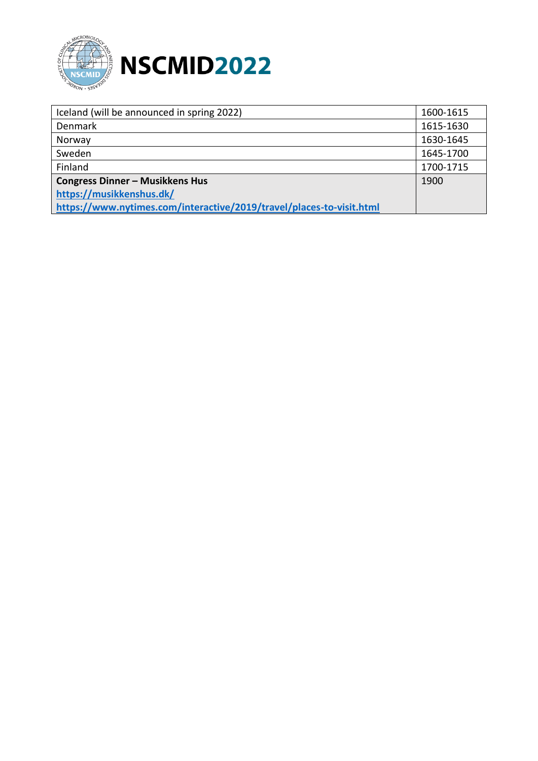

| Iceland (will be announced in spring 2022)                           | 1600-1615 |
|----------------------------------------------------------------------|-----------|
| Denmark                                                              | 1615-1630 |
| Norway                                                               | 1630-1645 |
| Sweden                                                               | 1645-1700 |
| Finland                                                              | 1700-1715 |
| <b>Congress Dinner - Musikkens Hus</b>                               | 1900      |
| https://musikkenshus.dk/                                             |           |
| https://www.nytimes.com/interactive/2019/travel/places-to-visit.html |           |